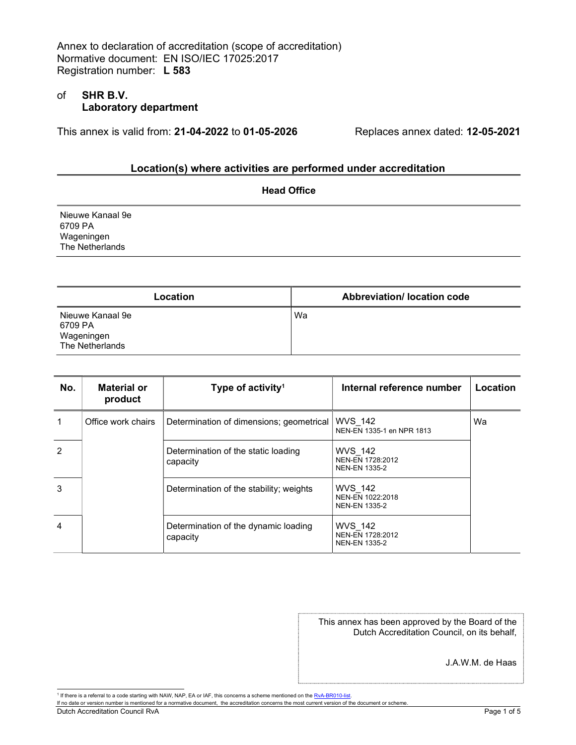## of SHR B.V. Laboratory department

This annex is valid from:  $21$ -04-2022 to 01-05-2026 Replaces annex dated: 12-05-2021

# Location(s) where activities are performed under accreditation

|                                                              | <b>Head Office</b> |  |
|--------------------------------------------------------------|--------------------|--|
| Nieuwe Kanaal 9e<br>6709 PA<br>Wageningen<br>The Netherlands |                    |  |
|                                                              |                    |  |

| <b>Location</b>                                              | Abbreviation/ location code |
|--------------------------------------------------------------|-----------------------------|
| Nieuwe Kanaal 9e<br>6709 PA<br>Wageningen<br>The Netherlands | Wa                          |

| No.            | <b>Material or</b><br>product | Type of activity <sup>1</sup>                    | Internal reference number                                  | Location |
|----------------|-------------------------------|--------------------------------------------------|------------------------------------------------------------|----------|
|                | Office work chairs            | Determination of dimensions; geometrical         | <b>WVS 142</b><br>NEN-EN 1335-1 en NPR 1813                | Wa       |
| $\mathcal{P}$  |                               | Determination of the static loading<br>capacity  | <b>WVS 142</b><br>NEN-EN 1728:2012<br><b>NEN-EN 1335-2</b> |          |
| 3              |                               | Determination of the stability; weights          | <b>WVS 142</b><br>NEN-EN 1022:2018<br><b>NEN-EN 1335-2</b> |          |
| $\overline{4}$ |                               | Determination of the dynamic loading<br>capacity | <b>WVS 142</b><br>NEN-EN 1728:2012<br><b>NEN-EN 1335-2</b> |          |

This annex has been approved by the Board of the Dutch Accreditation Council, on its behalf,

J.A.W.M. de Haas

If no date or version number is mentioned for a normative document, the accreditation concerns the most current version of the document or scheme.

Dutch Accreditation Council RvA **Page 1 of 5** 

<sup>&</sup>lt;sup>1</sup> If there is a referral to a code starting with NAW, NAP, EA or IAF, this concerns a scheme mentioned on the RvA-BR010-list.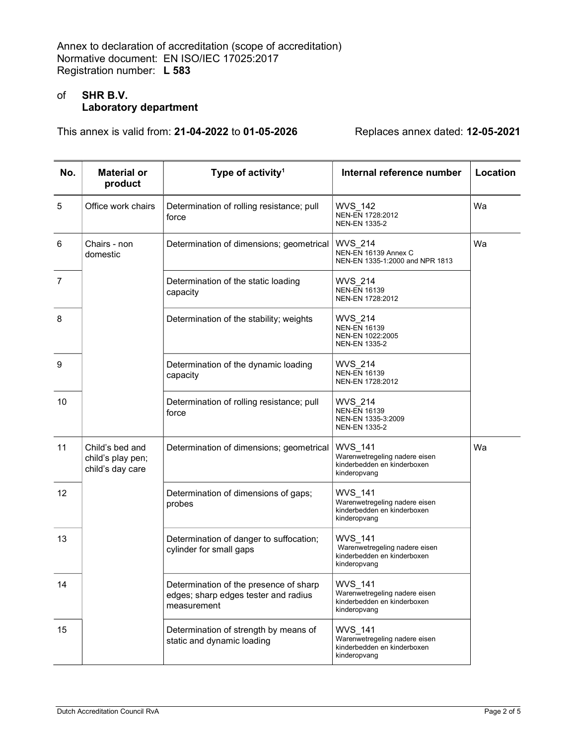# of SHR B.V. Laboratory department

This annex is valid from:  $21$ -04-2022 to 01-05-2026 Replaces annex dated: 12-05-2021

| No.            | <b>Material or</b><br>product                            | Type of activity <sup>1</sup>                                                                 | Internal reference number                                                                      | Location |
|----------------|----------------------------------------------------------|-----------------------------------------------------------------------------------------------|------------------------------------------------------------------------------------------------|----------|
| 5              | Office work chairs                                       | Determination of rolling resistance; pull<br>force                                            | <b>WVS 142</b><br>NEN-EN 1728:2012<br><b>NEN-EN 1335-2</b>                                     | Wa       |
| 6              | Chairs - non<br>domestic                                 | Determination of dimensions; geometrical                                                      | WVS_214<br>NEN-EN 16139 Annex C<br>NEN-EN 1335-1:2000 and NPR 1813                             | Wa       |
| $\overline{7}$ |                                                          | Determination of the static loading<br>capacity                                               | WVS 214<br><b>NEN-EN 16139</b><br>NEN-EN 1728:2012                                             |          |
| 8              |                                                          | Determination of the stability; weights                                                       | WVS_214<br><b>NEN-EN 16139</b><br>NEN-EN 1022:2005<br><b>NEN-EN 1335-2</b>                     |          |
| 9              |                                                          | Determination of the dynamic loading<br>capacity                                              | <b>WVS 214</b><br><b>NEN-EN 16139</b><br>NEN-EN 1728:2012                                      |          |
| 10             |                                                          | Determination of rolling resistance; pull<br>force                                            | <b>WVS 214</b><br><b>NEN-EN 16139</b><br>NEN-EN 1335-3:2009<br><b>NEN-EN 1335-2</b>            |          |
| 11             | Child's bed and<br>child's play pen;<br>child's day care | Determination of dimensions; geometrical                                                      | WVS_141<br>Warenwetregeling nadere eisen<br>kinderbedden en kinderboxen<br>kinderopvang        | Wa       |
| 12             |                                                          | Determination of dimensions of gaps;<br>probes                                                | WVS_141<br>Warenwetregeling nadere eisen<br>kinderbedden en kinderboxen<br>kinderopvang        |          |
| 13             |                                                          | Determination of danger to suffocation;<br>cylinder for small gaps                            | WVS_141<br>Warenwetregeling nadere eisen<br>kinderbedden en kinderboxen<br>kinderopvang        |          |
| 14             |                                                          | Determination of the presence of sharp<br>edges; sharp edges tester and radius<br>measurement | WVS_141<br>Warenwetregeling nadere eisen<br>kinderbedden en kinderboxen<br>kinderopvang        |          |
| 15             |                                                          | Determination of strength by means of<br>static and dynamic loading                           | <b>WVS 141</b><br>Warenwetregeling nadere eisen<br>kinderbedden en kinderboxen<br>kinderopvang |          |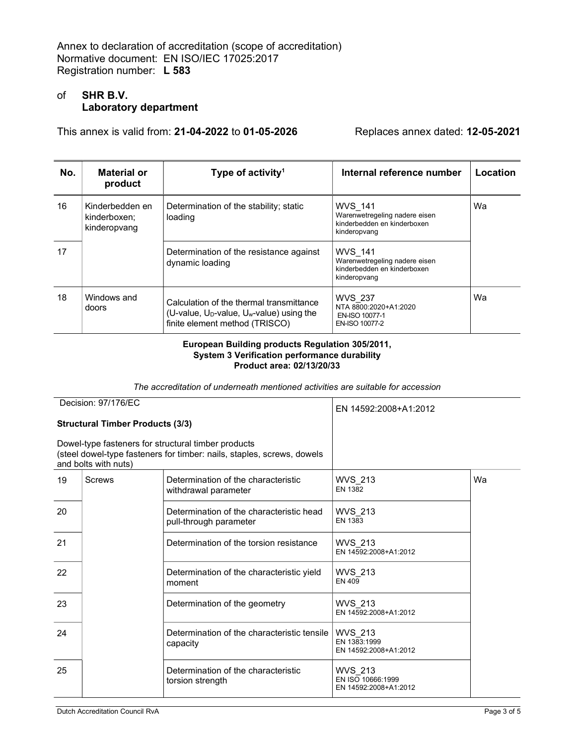## of SHR B.V. Laboratory department

This annex is valid from: 21-04-2022 to 01-05-2026 Replaces annex dated: 12-05-2021

| No. | Material or<br>product                          | Type of activity <sup>1</sup>                                                                                                                   | Internal reference number                                                                      | Location |
|-----|-------------------------------------------------|-------------------------------------------------------------------------------------------------------------------------------------------------|------------------------------------------------------------------------------------------------|----------|
| 16  | Kinderbedden en<br>kinderboxen;<br>kinderopvang | Determination of the stability; static<br>loading                                                                                               | <b>WVS 141</b><br>Warenwetregeling nadere eisen<br>kinderbedden en kinderboxen<br>kinderopvang | Wa       |
| 17  |                                                 | Determination of the resistance against<br>dynamic loading                                                                                      | <b>WVS 141</b><br>Warenwetregeling nadere eisen<br>kinderbedden en kinderboxen<br>kinderopvang |          |
| 18  | Windows and<br>doors                            | Calculation of the thermal transmittance<br>(U-value, U <sub>D</sub> -value, U <sub>w</sub> -value) using the<br>finite element method (TRISCO) | <b>WVS 237</b><br>NTA 8800:2020+A1:2020<br>EN-ISO 10077-1<br>EN-ISO 10077-2                    | Wa       |

#### European Building products Regulation 305/2011, System 3 Verification performance durability Product area: 02/13/20/33

The accreditation of underneath mentioned activities are suitable for accession

| Decision: 97/176/EC                                                                                                                                   |               | EN 14592:2008+A1:2012                                              |                                                       |    |
|-------------------------------------------------------------------------------------------------------------------------------------------------------|---------------|--------------------------------------------------------------------|-------------------------------------------------------|----|
| <b>Structural Timber Products (3/3)</b>                                                                                                               |               |                                                                    |                                                       |    |
| Dowel-type fasteners for structural timber products<br>(steel dowel-type fasteners for timber: nails, staples, screws, dowels<br>and bolts with nuts) |               |                                                                    |                                                       |    |
| 19                                                                                                                                                    | <b>Screws</b> | Determination of the characteristic<br>withdrawal parameter        | <b>WVS 213</b><br><b>EN 1382</b>                      | Wa |
| 20                                                                                                                                                    |               | Determination of the characteristic head<br>pull-through parameter | <b>WVS 213</b><br><b>EN 1383</b>                      |    |
| 21                                                                                                                                                    |               | Determination of the torsion resistance                            | <b>WVS 213</b><br>EN 14592:2008+A1:2012               |    |
| 22                                                                                                                                                    |               | Determination of the characteristic yield<br>moment                | WVS_213<br>EN 409                                     |    |
| 23                                                                                                                                                    |               | Determination of the geometry                                      | <b>WVS 213</b><br>EN 14592:2008+A1:2012               |    |
| 24                                                                                                                                                    |               | Determination of the characteristic tensile<br>capacity            | WVS 213<br>EN 1383:1999<br>EN 14592:2008+A1:2012      |    |
| 25                                                                                                                                                    |               | Determination of the characteristic<br>torsion strength            | WVS 213<br>EN ISO 10666:1999<br>EN 14592:2008+A1:2012 |    |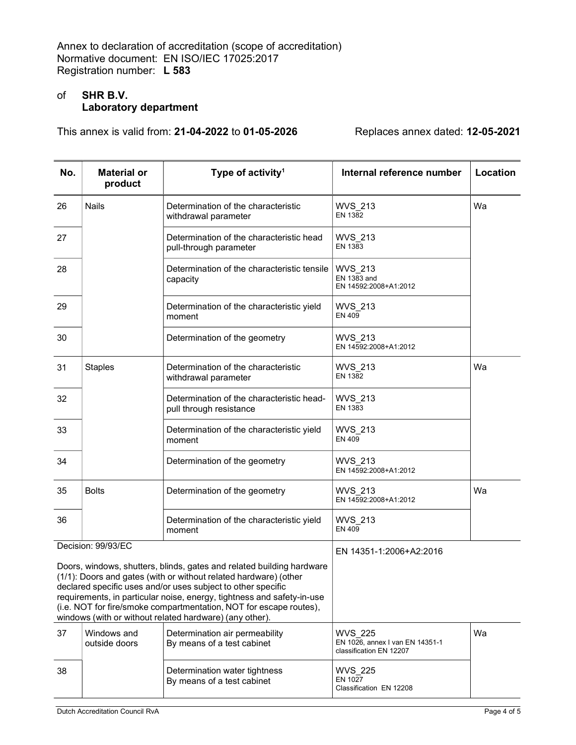# of SHR B.V. Laboratory department

This annex is valid from:  $21$ -04-2022 to 01-05-2026 Replaces annex dated: 12-05-2021

| No.                                                                                                                                                                                                                                                                                                                                                                                                                  | <b>Material or</b><br>product | Type of activity <sup>1</sup>                                        | Internal reference number                                                    | Location |
|----------------------------------------------------------------------------------------------------------------------------------------------------------------------------------------------------------------------------------------------------------------------------------------------------------------------------------------------------------------------------------------------------------------------|-------------------------------|----------------------------------------------------------------------|------------------------------------------------------------------------------|----------|
| 26                                                                                                                                                                                                                                                                                                                                                                                                                   | <b>Nails</b>                  | Determination of the characteristic<br>withdrawal parameter          | <b>WVS 213</b><br><b>EN 1382</b>                                             | Wa       |
| 27                                                                                                                                                                                                                                                                                                                                                                                                                   |                               | Determination of the characteristic head<br>pull-through parameter   | <b>WVS 213</b><br>EN 1383                                                    |          |
| 28                                                                                                                                                                                                                                                                                                                                                                                                                   |                               | Determination of the characteristic tensile<br>capacity              | WVS 213<br>EN 1383 and<br>EN 14592:2008+A1:2012                              |          |
| 29                                                                                                                                                                                                                                                                                                                                                                                                                   |                               | Determination of the characteristic yield<br>moment                  | <b>WVS 213</b><br>EN 409                                                     |          |
| 30                                                                                                                                                                                                                                                                                                                                                                                                                   |                               | Determination of the geometry                                        | <b>WVS 213</b><br>EN 14592:2008+A1:2012                                      |          |
| 31                                                                                                                                                                                                                                                                                                                                                                                                                   | <b>Staples</b>                | Determination of the characteristic<br>withdrawal parameter          | <b>WVS 213</b><br><b>EN 1382</b>                                             | Wa       |
| 32                                                                                                                                                                                                                                                                                                                                                                                                                   |                               | Determination of the characteristic head-<br>pull through resistance | <b>WVS 213</b><br>EN 1383                                                    |          |
| 33                                                                                                                                                                                                                                                                                                                                                                                                                   |                               | Determination of the characteristic yield<br>moment                  | <b>WVS 213</b><br><b>EN 409</b>                                              |          |
| 34                                                                                                                                                                                                                                                                                                                                                                                                                   |                               | Determination of the geometry                                        | <b>WVS 213</b><br>EN 14592:2008+A1:2012                                      |          |
| 35                                                                                                                                                                                                                                                                                                                                                                                                                   | <b>Bolts</b>                  | Determination of the geometry                                        | <b>WVS 213</b><br>EN 14592:2008+A1:2012                                      | Wa       |
| 36                                                                                                                                                                                                                                                                                                                                                                                                                   |                               | Determination of the characteristic yield<br>moment                  | <b>WVS 213</b><br><b>EN 409</b>                                              |          |
|                                                                                                                                                                                                                                                                                                                                                                                                                      | Decision: 99/93/EC            |                                                                      | EN 14351-1:2006+A2:2016                                                      |          |
| Doors, windows, shutters, blinds, gates and related building hardware<br>(1/1): Doors and gates (with or without related hardware) (other<br>declared specific uses and/or uses subject to other specific<br>requirements, in particular noise, energy, tightness and safety-in-use<br>(i.e. NOT for fire/smoke compartmentation, NOT for escape routes),<br>windows (with or without related hardware) (any other). |                               |                                                                      |                                                                              |          |
| 37                                                                                                                                                                                                                                                                                                                                                                                                                   | Windows and<br>outside doors  | Determination air permeability<br>By means of a test cabinet         | <b>WVS 225</b><br>EN 1026, annex I van EN 14351-1<br>classification EN 12207 | Wa       |
| 38                                                                                                                                                                                                                                                                                                                                                                                                                   |                               | Determination water tightness<br>By means of a test cabinet          | <b>WVS 225</b><br>EN 1027<br>Classification EN 12208                         |          |